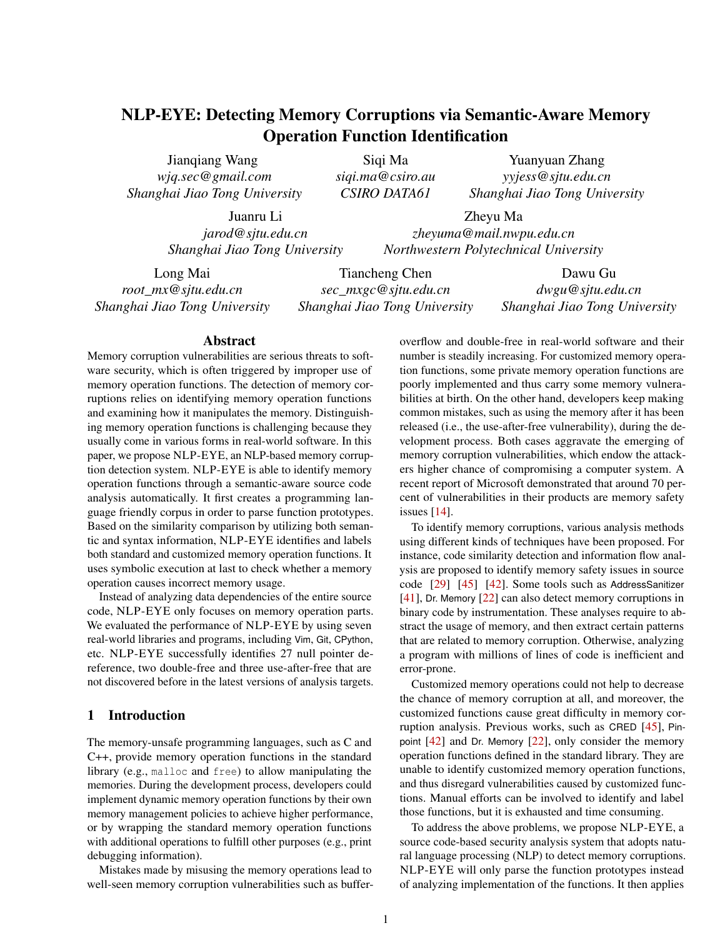# NLP-EYE: Detecting Memory Corruptions via Semantic-Aware Memory Operation Function Identification

Jianqiang Wang *wjq.sec@gmail.com Shanghai Jiao Tong University*

Siqi Ma *siqi.ma@csiro.au CSIRO DATA61*

Yuanyuan Zhang *yyjess@sjtu.edu.cn Shanghai Jiao Tong University*

Juanru Li *jarod@sjtu.edu.cn Shanghai Jiao Tong University*

Zheyu Ma *zheyuma@mail.nwpu.edu.cn Northwestern Polytechnical University*

Long Mai *root\_mx@sjtu.edu.cn Shanghai Jiao Tong University*

Tiancheng Chen *sec\_mxgc@sjtu.edu.cn Shanghai Jiao Tong University*

Dawu Gu *dwgu@sjtu.edu.cn Shanghai Jiao Tong University*

### Abstract

Memory corruption vulnerabilities are serious threats to software security, which is often triggered by improper use of memory operation functions. The detection of memory corruptions relies on identifying memory operation functions and examining how it manipulates the memory. Distinguishing memory operation functions is challenging because they usually come in various forms in real-world software. In this paper, we propose NLP-EYE, an NLP-based memory corruption detection system. NLP-EYE is able to identify memory operation functions through a semantic-aware source code analysis automatically. It first creates a programming language friendly corpus in order to parse function prototypes. Based on the similarity comparison by utilizing both semantic and syntax information, NLP-EYE identifies and labels both standard and customized memory operation functions. It uses symbolic execution at last to check whether a memory operation causes incorrect memory usage.

Instead of analyzing data dependencies of the entire source code, NLP-EYE only focuses on memory operation parts. We evaluated the performance of NLP-EYE by using seven real-world libraries and programs, including Vim, Git, CPython, etc. NLP-EYE successfully identifies 27 null pointer dereference, two double-free and three use-after-free that are not discovered before in the latest versions of analysis targets.

# 1 Introduction

The memory-unsafe programming languages, such as C and C++, provide memory operation functions in the standard library (e.g., malloc and free) to allow manipulating the memories. During the development process, developers could implement dynamic memory operation functions by their own memory management policies to achieve higher performance, or by wrapping the standard memory operation functions with additional operations to fulfill other purposes (e.g., print debugging information).

Mistakes made by misusing the memory operations lead to well-seen memory corruption vulnerabilities such as bufferoverflow and double-free in real-world software and their number is steadily increasing. For customized memory operation functions, some private memory operation functions are poorly implemented and thus carry some memory vulnerabilities at birth. On the other hand, developers keep making common mistakes, such as using the memory after it has been released (i.e., the use-after-free vulnerability), during the development process. Both cases aggravate the emerging of memory corruption vulnerabilities, which endow the attackers higher chance of compromising a computer system. A recent report of Microsoft demonstrated that around 70 percent of vulnerabilities in their products are memory safety issues [\[14\]](#page-11-0).

To identify memory corruptions, various analysis methods using different kinds of techniques have been proposed. For instance, code similarity detection and information flow analysis are proposed to identify memory safety issues in source code [\[29\]](#page-11-1) [\[45\]](#page-12-0) [\[42\]](#page-12-1). Some tools such as AddressSanitizer [\[41\]](#page-12-2), Dr. Memory [\[22\]](#page-11-2) can also detect memory corruptions in binary code by instrumentation. These analyses require to abstract the usage of memory, and then extract certain patterns that are related to memory corruption. Otherwise, analyzing a program with millions of lines of code is inefficient and error-prone.

Customized memory operations could not help to decrease the chance of memory corruption at all, and moreover, the customized functions cause great difficulty in memory corruption analysis. Previous works, such as CRED [\[45\]](#page-12-0), Pinpoint [\[42\]](#page-12-1) and Dr. Memory [\[22\]](#page-11-2), only consider the memory operation functions defined in the standard library. They are unable to identify customized memory operation functions, and thus disregard vulnerabilities caused by customized functions. Manual efforts can be involved to identify and label those functions, but it is exhausted and time consuming.

To address the above problems, we propose NLP-EYE, a source code-based security analysis system that adopts natural language processing (NLP) to detect memory corruptions. NLP-EYE will only parse the function prototypes instead of analyzing implementation of the functions. It then applies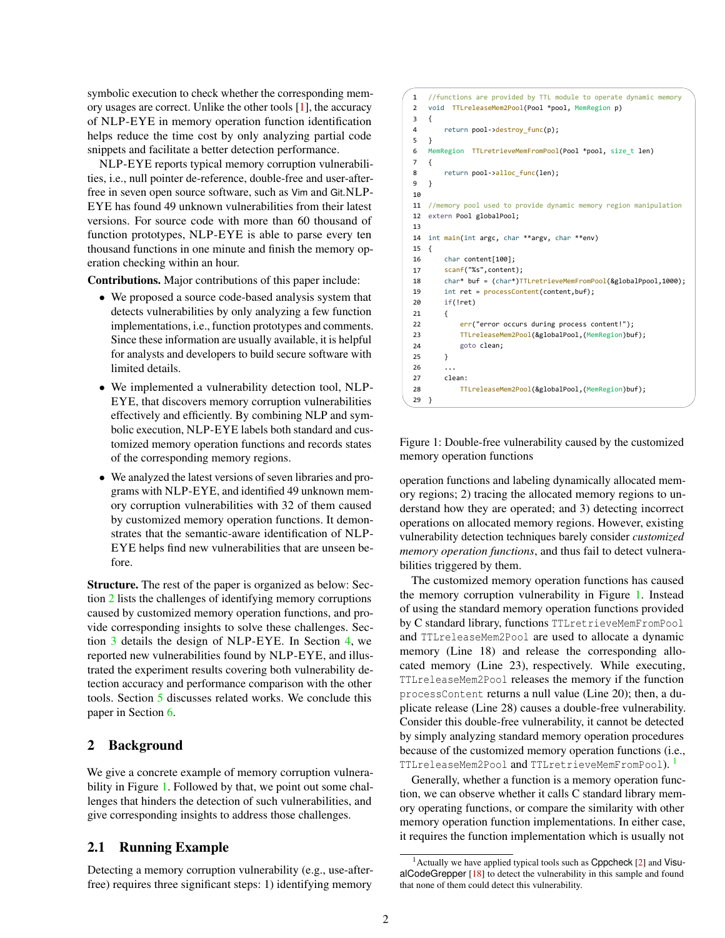symbolic execution to check whether the corresponding memory usages are correct. Unlike the other tools [\[1\]](#page-11-3), the accuracy of NLP-EYE in memory operation function identification helps reduce the time cost by only analyzing partial code snippets and facilitate a better detection performance.

NLP-EYE reports typical memory corruption vulnerabilities, i.e., null pointer de-reference, double-free and user-afterfree in seven open source software, such as Vim and Git.NLP-EYE has found 49 unknown vulnerabilities from their latest versions. For source code with more than 60 thousand of function prototypes, NLP-EYE is able to parse every ten thousand functions in one minute and finish the memory operation checking within an hour.

Contributions. Major contributions of this paper include:

- We proposed a source code-based analysis system that detects vulnerabilities by only analyzing a few function implementations, i.e., function prototypes and comments. Since these information are usually available, it is helpful for analysts and developers to build secure software with limited details.
- We implemented a vulnerability detection tool, NLP-EYE, that discovers memory corruption vulnerabilities effectively and efficiently. By combining NLP and symbolic execution, NLP-EYE labels both standard and customized memory operation functions and records states of the corresponding memory regions.
- We analyzed the latest versions of seven libraries and programs with NLP-EYE, and identified 49 unknown memory corruption vulnerabilities with 32 of them caused by customized memory operation functions. It demonstrates that the semantic-aware identification of NLP-EYE helps find new vulnerabilities that are unseen before.

Structure. The rest of the paper is organized as below: Section [2](#page-1-0) lists the challenges of identifying memory corruptions caused by customized memory operation functions, and provide corresponding insights to solve these challenges. Section [3](#page-3-0) details the design of NLP-EYE. In Section [4,](#page-5-0) we reported new vulnerabilities found by NLP-EYE, and illustrated the experiment results covering both vulnerability detection accuracy and performance comparison with the other tools. Section [5](#page-9-0) discusses related works. We conclude this paper in Section [6.](#page-10-0)

# <span id="page-1-0"></span>2 Background

We give a concrete example of memory corruption vulnera-bility in Figure [1.](#page-1-1) Followed by that, we point out some challenges that hinders the detection of such vulnerabilities, and give corresponding insights to address those challenges.

# 2.1 Running Example

Detecting a memory corruption vulnerability (e.g., use-afterfree) requires three significant steps: 1) identifying memory

```
1
//functions are provided by TTL module to operate dynamic memory
2
void TTLreleaseMem2Pool(Pool *pool, MemRegion p)
3
{
4
5
}
6
MemRegion TTLretrieveMemFromPool(Pool *pool, size_t len)
7
{
8
9
10
11
//memory pool used to provide dynamic memory region manipulation
12
extern Pool globalPool; 
13
14
int main(int argc, char **argv, char **env)
15
{
16
17
18
19
20
21
22
23
2425
26
27
28
29 }
        return pool->destroy_func(p);
       return pool->alloc func(len);
    }
       char content[100];
     scanf("%s"
,content);
        char* buf = (char*)TTLretrieveMemFromPool(&globalPpool,1000);
        int ret = processContent(content,buf);
        if(!ret)
        {
            err("error occurs during process content!");
            TTLreleaseMem2Pool(&globalPool,(MemRegion)buf);
            goto clean;
        } ...
        clean:
            TTLreleaseMem2Pool(&globalPool,(MemRegion)buf);
    }
```
Figure 1: Double-free vulnerability caused by the customized memory operation functions

operation functions and labeling dynamically allocated memory regions; 2) tracing the allocated memory regions to understand how they are operated; and 3) detecting incorrect operations on allocated memory regions. However, existing vulnerability detection techniques barely consider *customized memory operation functions*, and thus fail to detect vulnerabilities triggered by them.

The customized memory operation functions has caused the memory corruption vulnerability in Figure [1.](#page-1-1) Instead of using the standard memory operation functions provided by C standard library, functions TTLretrieveMemFromPool and TTLreleaseMem2Pool are used to allocate a dynamic memory (Line 18) and release the corresponding allocated memory (Line 23), respectively. While executing, TTLreleaseMem2Pool releases the memory if the function processContent returns a null value (Line 20); then, a duplicate release (Line 28) causes a double-free vulnerability. Consider this double-free vulnerability, it cannot be detected by simply analyzing standard memory operation procedures because of the customized memory operation functions (i.e., TTLreleaseMem2Pool and TTLretrieveMemFromPool). [1](#page-1-2)

Generally, whether a function is a memory operation function, we can observe whether it calls C standard library memory operating functions, or compare the similarity with other memory operation function implementations. In either case, it requires the function implementation which is usually not

<span id="page-1-2"></span> $<sup>1</sup>$  Actually we have applied typical tools such as Cppcheck [\[2\]](#page-11-4) and Visu-</sup> alCodeGrepper [\[18\]](#page-11-5) to detect the vulnerability in this sample and found that none of them could detect this vulnerability.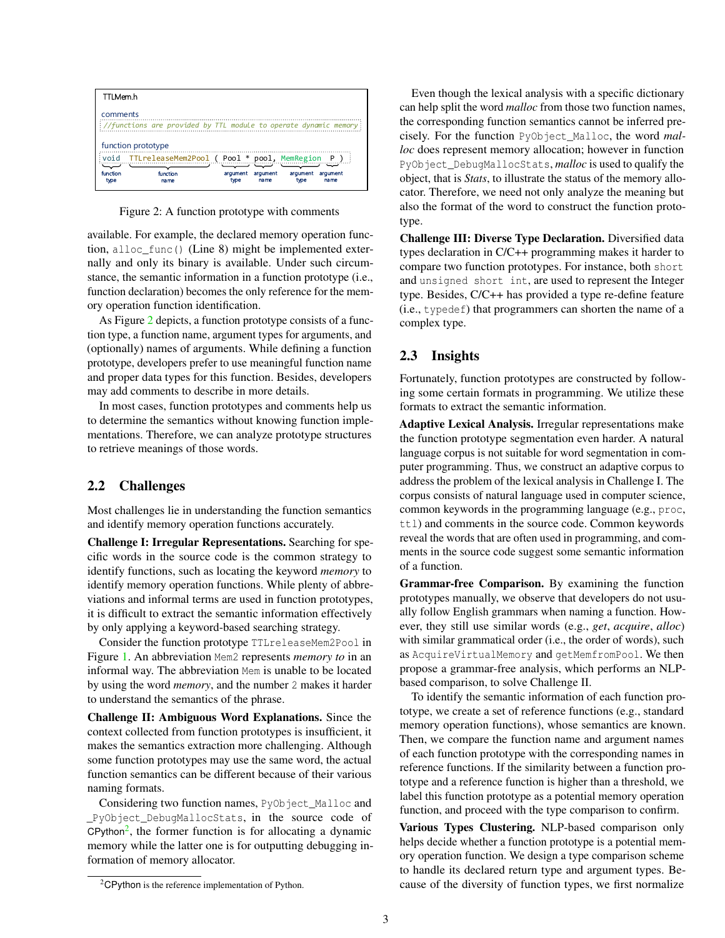<span id="page-2-0"></span>

Figure 2: A function prototype with comments

available. For example, the declared memory operation function, alloc\_func() (Line 8) might be implemented externally and only its binary is available. Under such circumstance, the semantic information in a function prototype (i.e., function declaration) becomes the only reference for the memory operation function identification.

As Figure [2](#page-2-0) depicts, a function prototype consists of a function type, a function name, argument types for arguments, and (optionally) names of arguments. While defining a function prototype, developers prefer to use meaningful function name and proper data types for this function. Besides, developers may add comments to describe in more details.

In most cases, function prototypes and comments help us to determine the semantics without knowing function implementations. Therefore, we can analyze prototype structures to retrieve meanings of those words.

### 2.2 Challenges

Most challenges lie in understanding the function semantics and identify memory operation functions accurately.

Challenge I: Irregular Representations. Searching for specific words in the source code is the common strategy to identify functions, such as locating the keyword *memory* to identify memory operation functions. While plenty of abbreviations and informal terms are used in function prototypes, it is difficult to extract the semantic information effectively by only applying a keyword-based searching strategy.

Consider the function prototype TTLreleaseMem2Pool in Figure [1.](#page-1-1) An abbreviation Mem2 represents *memory to* in an informal way. The abbreviation Mem is unable to be located by using the word *memory*, and the number 2 makes it harder to understand the semantics of the phrase.

Challenge II: Ambiguous Word Explanations. Since the context collected from function prototypes is insufficient, it makes the semantics extraction more challenging. Although some function prototypes may use the same word, the actual function semantics can be different because of their various naming formats.

Considering two function names, PyObject\_Malloc and \_PyObject\_DebugMallocStats, in the source code of CPython<sup>[2](#page-2-1)</sup>, the former function is for allocating a dynamic memory while the latter one is for outputting debugging information of memory allocator.

Even though the lexical analysis with a specific dictionary can help split the word *malloc* from those two function names, the corresponding function semantics cannot be inferred precisely. For the function PyObject\_Malloc, the word *malloc* does represent memory allocation; however in function PyObject DebugMallocStats, *malloc* is used to qualify the object, that is *Stats*, to illustrate the status of the memory allocator. Therefore, we need not only analyze the meaning but also the format of the word to construct the function prototype.

Challenge III: Diverse Type Declaration. Diversified data types declaration in C/C++ programming makes it harder to compare two function prototypes. For instance, both short and unsigned short int, are used to represent the Integer type. Besides, C/C++ has provided a type re-define feature (i.e., typedef) that programmers can shorten the name of a complex type.

# 2.3 Insights

Fortunately, function prototypes are constructed by following some certain formats in programming. We utilize these formats to extract the semantic information.

Adaptive Lexical Analysis. Irregular representations make the function prototype segmentation even harder. A natural language corpus is not suitable for word segmentation in computer programming. Thus, we construct an adaptive corpus to address the problem of the lexical analysis in Challenge I. The corpus consists of natural language used in computer science, common keywords in the programming language (e.g., proc, ttl) and comments in the source code. Common keywords reveal the words that are often used in programming, and comments in the source code suggest some semantic information of a function.

Grammar-free Comparison. By examining the function prototypes manually, we observe that developers do not usually follow English grammars when naming a function. However, they still use similar words (e.g., *get*, *acquire*, *alloc*) with similar grammatical order (i.e., the order of words), such as AcquireVirtualMemory and getMemfromPool. We then propose a grammar-free analysis, which performs an NLPbased comparison, to solve Challenge II.

To identify the semantic information of each function prototype, we create a set of reference functions (e.g., standard memory operation functions), whose semantics are known. Then, we compare the function name and argument names of each function prototype with the corresponding names in reference functions. If the similarity between a function prototype and a reference function is higher than a threshold, we label this function prototype as a potential memory operation function, and proceed with the type comparison to confirm.

Various Types Clustering. NLP-based comparison only helps decide whether a function prototype is a potential memory operation function. We design a type comparison scheme to handle its declared return type and argument types. Because of the diversity of function types, we first normalize

<span id="page-2-1"></span><sup>2</sup>CPython is the reference implementation of Python.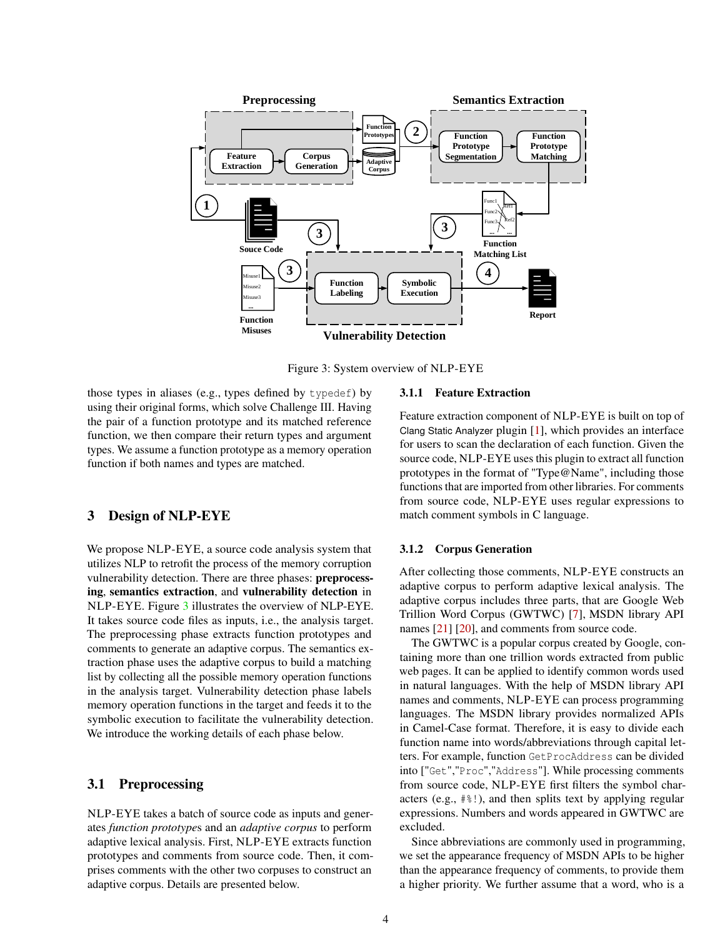<span id="page-3-1"></span>

Figure 3: System overview of NLP-EYE

those types in aliases (e.g., types defined by typedef) by using their original forms, which solve Challenge III. Having the pair of a function prototype and its matched reference function, we then compare their return types and argument types. We assume a function prototype as a memory operation function if both names and types are matched.

### <span id="page-3-0"></span>3 Design of NLP-EYE

We propose NLP-EYE, a source code analysis system that utilizes NLP to retrofit the process of the memory corruption vulnerability detection. There are three phases: preprocessing, semantics extraction, and vulnerability detection in NLP-EYE. Figure [3](#page-3-1) illustrates the overview of NLP-EYE. It takes source code files as inputs, i.e., the analysis target. The preprocessing phase extracts function prototypes and comments to generate an adaptive corpus. The semantics extraction phase uses the adaptive corpus to build a matching list by collecting all the possible memory operation functions in the analysis target. Vulnerability detection phase labels memory operation functions in the target and feeds it to the symbolic execution to facilitate the vulnerability detection. We introduce the working details of each phase below.

# 3.1 Preprocessing

NLP-EYE takes a batch of source code as inputs and generates *function prototype*s and an *adaptive corpus* to perform adaptive lexical analysis. First, NLP-EYE extracts function prototypes and comments from source code. Then, it comprises comments with the other two corpuses to construct an adaptive corpus. Details are presented below.

#### 3.1.1 Feature Extraction

Feature extraction component of NLP-EYE is built on top of Clang Static Analyzer plugin [\[1\]](#page-11-3), which provides an interface for users to scan the declaration of each function. Given the source code, NLP-EYE uses this plugin to extract all function prototypes in the format of "Type@Name", including those functions that are imported from other libraries. For comments from source code, NLP-EYE uses regular expressions to match comment symbols in C language.

#### 3.1.2 Corpus Generation

After collecting those comments, NLP-EYE constructs an adaptive corpus to perform adaptive lexical analysis. The adaptive corpus includes three parts, that are Google Web Trillion Word Corpus (GWTWC) [\[7\]](#page-11-6), MSDN library API names [\[21\]](#page-11-7) [\[20\]](#page-11-8), and comments from source code.

The GWTWC is a popular corpus created by Google, containing more than one trillion words extracted from public web pages. It can be applied to identify common words used in natural languages. With the help of MSDN library API names and comments, NLP-EYE can process programming languages. The MSDN library provides normalized APIs in Camel-Case format. Therefore, it is easy to divide each function name into words/abbreviations through capital letters. For example, function GetProcAddress can be divided into ["Get","Proc","Address"]. While processing comments from source code, NLP-EYE first filters the symbol characters (e.g., #%!), and then splits text by applying regular expressions. Numbers and words appeared in GWTWC are excluded.

Since abbreviations are commonly used in programming, we set the appearance frequency of MSDN APIs to be higher than the appearance frequency of comments, to provide them a higher priority. We further assume that a word, who is a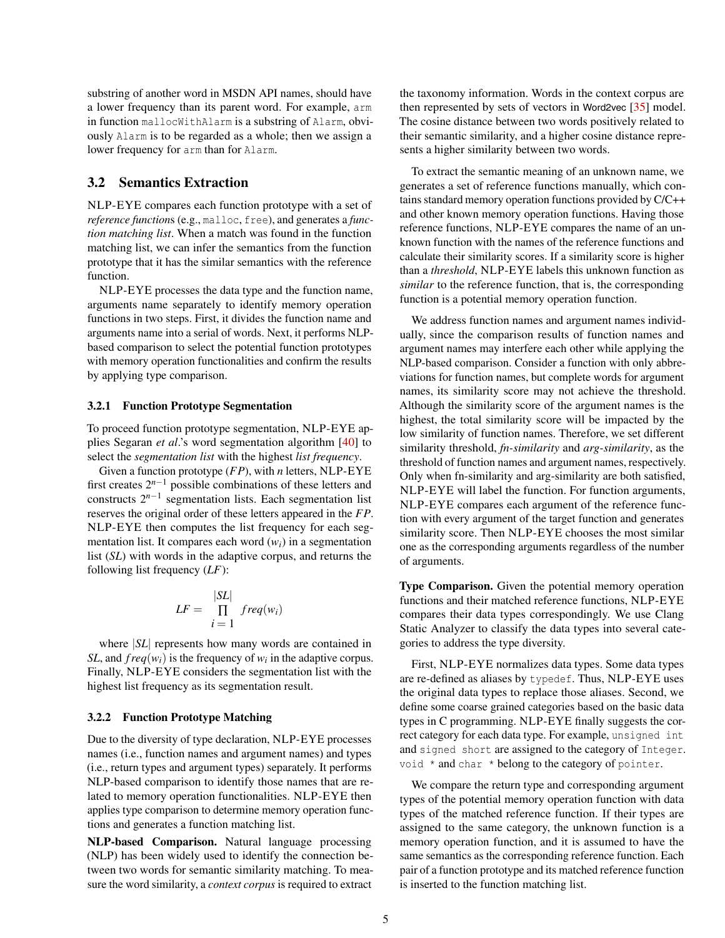substring of another word in MSDN API names, should have a lower frequency than its parent word. For example, arm in function mallocWithAlarm is a substring of Alarm, obviously Alarm is to be regarded as a whole; then we assign a lower frequency for arm than for Alarm.

# 3.2 Semantics Extraction

NLP-EYE compares each function prototype with a set of *reference function*s (e.g., malloc, free), and generates a *function matching list*. When a match was found in the function matching list, we can infer the semantics from the function prototype that it has the similar semantics with the reference function.

NLP-EYE processes the data type and the function name, arguments name separately to identify memory operation functions in two steps. First, it divides the function name and arguments name into a serial of words. Next, it performs NLPbased comparison to select the potential function prototypes with memory operation functionalities and confirm the results by applying type comparison.

#### 3.2.1 Function Prototype Segmentation

To proceed function prototype segmentation, NLP-EYE applies Segaran *et al*.'s word segmentation algorithm [\[40\]](#page-12-3) to select the *segmentation list* with the highest *list frequency*.

Given a function prototype (*FP*), with *n* letters, NLP-EYE first creates  $2^{n-1}$  possible combinations of these letters and constructs  $2^{n-1}$  segmentation lists. Each segmentation list reserves the original order of these letters appeared in the *FP*. NLP-EYE then computes the list frequency for each segmentation list. It compares each word  $(w_i)$  in a segmentation list (*SL*) with words in the adaptive corpus, and returns the following list frequency (*LF*):

$$
LF = \frac{|SL|}{\prod_{i=1}^{N} freq(w_i)}
$$

where |*SL*| represents how many words are contained in *SL*, and  $freq(w_i)$  is the frequency of  $w_i$  in the adaptive corpus. Finally, NLP-EYE considers the segmentation list with the highest list frequency as its segmentation result.

#### 3.2.2 Function Prototype Matching

Due to the diversity of type declaration, NLP-EYE processes names (i.e., function names and argument names) and types (i.e., return types and argument types) separately. It performs NLP-based comparison to identify those names that are related to memory operation functionalities. NLP-EYE then applies type comparison to determine memory operation functions and generates a function matching list.

NLP-based Comparison. Natural language processing (NLP) has been widely used to identify the connection between two words for semantic similarity matching. To measure the word similarity, a *context corpus* is required to extract

the taxonomy information. Words in the context corpus are then represented by sets of vectors in Word2vec [\[35\]](#page-11-9) model. The cosine distance between two words positively related to their semantic similarity, and a higher cosine distance represents a higher similarity between two words.

To extract the semantic meaning of an unknown name, we generates a set of reference functions manually, which contains standard memory operation functions provided by C/C++ and other known memory operation functions. Having those reference functions, NLP-EYE compares the name of an unknown function with the names of the reference functions and calculate their similarity scores. If a similarity score is higher than a *threshold*, NLP-EYE labels this unknown function as *similar* to the reference function, that is, the corresponding function is a potential memory operation function.

We address function names and argument names individually, since the comparison results of function names and argument names may interfere each other while applying the NLP-based comparison. Consider a function with only abbreviations for function names, but complete words for argument names, its similarity score may not achieve the threshold. Although the similarity score of the argument names is the highest, the total similarity score will be impacted by the low similarity of function names. Therefore, we set different similarity threshold, *fn-similarity* and *arg-similarity*, as the threshold of function names and argument names, respectively. Only when fn-similarity and arg-similarity are both satisfied, NLP-EYE will label the function. For function arguments, NLP-EYE compares each argument of the reference function with every argument of the target function and generates similarity score. Then NLP-EYE chooses the most similar one as the corresponding arguments regardless of the number of arguments.

Type Comparison. Given the potential memory operation functions and their matched reference functions, NLP-EYE compares their data types correspondingly. We use Clang Static Analyzer to classify the data types into several categories to address the type diversity.

First, NLP-EYE normalizes data types. Some data types are re-defined as aliases by typedef. Thus, NLP-EYE uses the original data types to replace those aliases. Second, we define some coarse grained categories based on the basic data types in C programming. NLP-EYE finally suggests the correct category for each data type. For example, unsigned int and signed short are assigned to the category of Integer. void \* and char \* belong to the category of pointer.

We compare the return type and corresponding argument types of the potential memory operation function with data types of the matched reference function. If their types are assigned to the same category, the unknown function is a memory operation function, and it is assumed to have the same semantics as the corresponding reference function. Each pair of a function prototype and its matched reference function is inserted to the function matching list.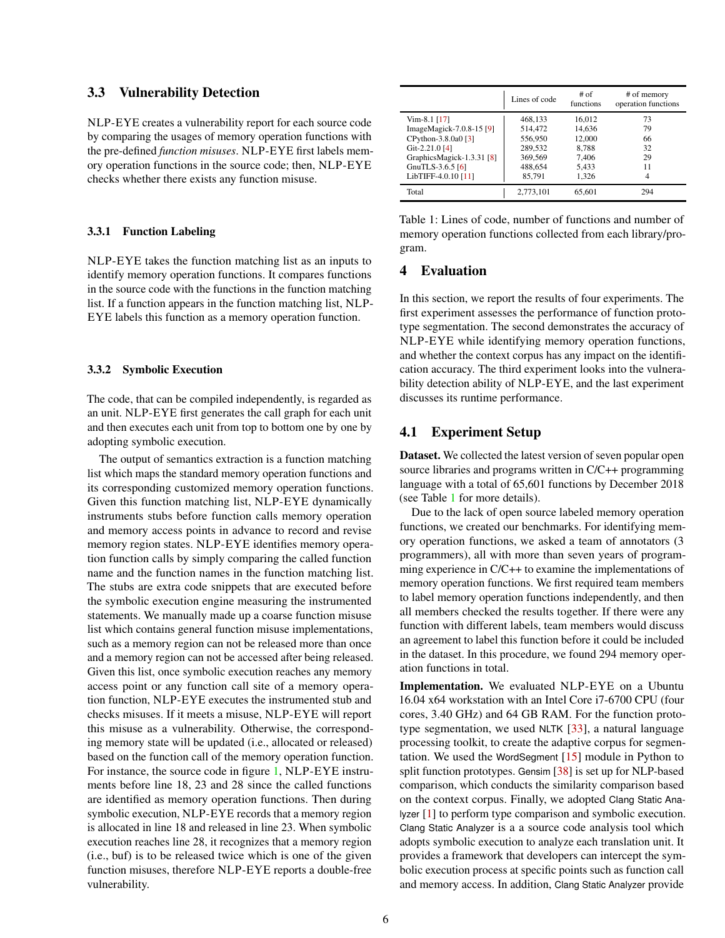#### 3.3 Vulnerability Detection

NLP-EYE creates a vulnerability report for each source code by comparing the usages of memory operation functions with the pre-defined *function misuses*. NLP-EYE first labels memory operation functions in the source code; then, NLP-EYE checks whether there exists any function misuse.

#### 3.3.1 Function Labeling

NLP-EYE takes the function matching list as an inputs to identify memory operation functions. It compares functions in the source code with the functions in the function matching list. If a function appears in the function matching list, NLP-EYE labels this function as a memory operation function.

#### 3.3.2 Symbolic Execution

The code, that can be compiled independently, is regarded as an unit. NLP-EYE first generates the call graph for each unit and then executes each unit from top to bottom one by one by adopting symbolic execution.

The output of semantics extraction is a function matching list which maps the standard memory operation functions and its corresponding customized memory operation functions. Given this function matching list, NLP-EYE dynamically instruments stubs before function calls memory operation and memory access points in advance to record and revise memory region states. NLP-EYE identifies memory operation function calls by simply comparing the called function name and the function names in the function matching list. The stubs are extra code snippets that are executed before the symbolic execution engine measuring the instrumented statements. We manually made up a coarse function misuse list which contains general function misuse implementations, such as a memory region can not be released more than once and a memory region can not be accessed after being released. Given this list, once symbolic execution reaches any memory access point or any function call site of a memory operation function, NLP-EYE executes the instrumented stub and checks misuses. If it meets a misuse, NLP-EYE will report this misuse as a vulnerability. Otherwise, the corresponding memory state will be updated (i.e., allocated or released) based on the function call of the memory operation function. For instance, the source code in figure [1,](#page-1-1) NLP-EYE instruments before line 18, 23 and 28 since the called functions are identified as memory operation functions. Then during symbolic execution, NLP-EYE records that a memory region is allocated in line 18 and released in line 23. When symbolic execution reaches line 28, it recognizes that a memory region (i.e., buf) is to be released twice which is one of the given function misuses, therefore NLP-EYE reports a double-free vulnerability.

<span id="page-5-1"></span>

|                           | Lines of code | # of<br>functions | # of memory<br>operation functions |
|---------------------------|---------------|-------------------|------------------------------------|
| $Vim-8.1$ [17]            | 468,133       | 16,012            | 73                                 |
| ImageMagick-7.0.8-15 [9]  | 514.472       | 14.636            | 79                                 |
| CPython-3.8.0a0 [3]       | 556,950       | 12,000            | 66                                 |
| Git-2.21.0 [4]            | 289,532       | 8.788             | 32                                 |
| GraphicsMagick-1.3.31 [8] | 369,569       | 7,406             | 29                                 |
| GnuTLS-3.6.5 $[6]$        | 488,654       | 5,433             | 11                                 |
| LibTIFF-4.0.10 [11]       | 85.791        | 1.326             | 4                                  |
| Total                     | 2,773,101     | 65.601            | 294                                |

Table 1: Lines of code, number of functions and number of memory operation functions collected from each library/program.

# <span id="page-5-0"></span>4 Evaluation

In this section, we report the results of four experiments. The first experiment assesses the performance of function prototype segmentation. The second demonstrates the accuracy of NLP-EYE while identifying memory operation functions, and whether the context corpus has any impact on the identification accuracy. The third experiment looks into the vulnerability detection ability of NLP-EYE, and the last experiment discusses its runtime performance.

# 4.1 Experiment Setup

Dataset. We collected the latest version of seven popular open source libraries and programs written in C/C++ programming language with a total of 65,601 functions by December 2018 (see Table [1](#page-5-1) for more details).

Due to the lack of open source labeled memory operation functions, we created our benchmarks. For identifying memory operation functions, we asked a team of annotators (3 programmers), all with more than seven years of programming experience in C/C++ to examine the implementations of memory operation functions. We first required team members to label memory operation functions independently, and then all members checked the results together. If there were any function with different labels, team members would discuss an agreement to label this function before it could be included in the dataset. In this procedure, we found 294 memory operation functions in total.

Implementation. We evaluated NLP-EYE on a Ubuntu 16.04 x64 workstation with an Intel Core i7-6700 CPU (four cores, 3.40 GHz) and 64 GB RAM. For the function prototype segmentation, we used NLTK [\[33\]](#page-11-17), a natural language processing toolkit, to create the adaptive corpus for segmentation. We used the WordSegment [\[15\]](#page-11-18) module in Python to split function prototypes. Gensim [\[38\]](#page-12-4) is set up for NLP-based comparison, which conducts the similarity comparison based on the context corpus. Finally, we adopted Clang Static Analyzer [\[1\]](#page-11-3) to perform type comparison and symbolic execution. Clang Static Analyzer is a a source code analysis tool which adopts symbolic execution to analyze each translation unit. It provides a framework that developers can intercept the symbolic execution process at specific points such as function call and memory access. In addition, Clang Static Analyzer provide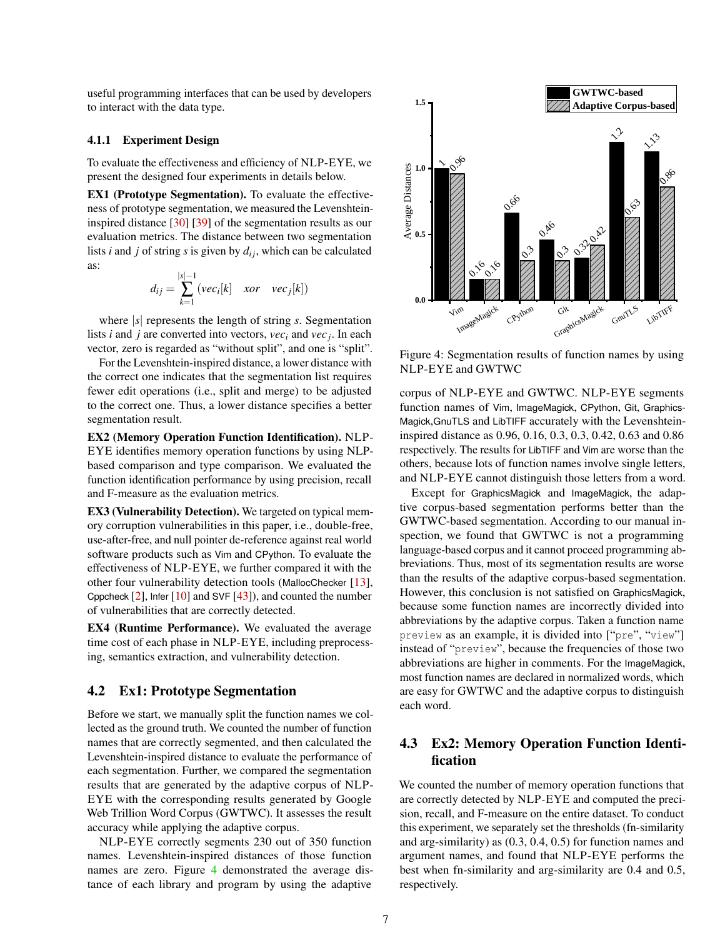useful programming interfaces that can be used by developers to interact with the data type.

#### 4.1.1 Experiment Design

To evaluate the effectiveness and efficiency of NLP-EYE, we present the designed four experiments in details below.

EX1 (Prototype Segmentation). To evaluate the effectiveness of prototype segmentation, we measured the Levenshteininspired distance [\[30\]](#page-11-19) [\[39\]](#page-12-5) of the segmentation results as our evaluation metrics. The distance between two segmentation lists *i* and *j* of string *s* is given by  $d_{ij}$ , which can be calculated as:

$$
d_{ij} = \sum_{k=1}^{|s|-1} (vec_i[k] \quad xor \quad vec_j[k])
$$

where |*s*| represents the length of string *s*. Segmentation lists *i* and *j* are converted into vectors, *vec<sup>i</sup>* and *vec<sup>j</sup>* . In each vector, zero is regarded as "without split", and one is "split".

For the Levenshtein-inspired distance, a lower distance with the correct one indicates that the segmentation list requires fewer edit operations (i.e., split and merge) to be adjusted to the correct one. Thus, a lower distance specifies a better segmentation result.

EX2 (Memory Operation Function Identification). NLP-EYE identifies memory operation functions by using NLPbased comparison and type comparison. We evaluated the function identification performance by using precision, recall and F-measure as the evaluation metrics.

EX3 (Vulnerability Detection). We targeted on typical memory corruption vulnerabilities in this paper, i.e., double-free, use-after-free, and null pointer de-reference against real world software products such as Vim and CPython. To evaluate the effectiveness of NLP-EYE, we further compared it with the other four vulnerability detection tools (MallocChecker [\[13\]](#page-11-20), Cppcheck  $[2]$ , Infer  $[10]$  and SVF  $[43]$ ), and counted the number of vulnerabilities that are correctly detected.

EX4 (Runtime Performance). We evaluated the average time cost of each phase in NLP-EYE, including preprocessing, semantics extraction, and vulnerability detection.

# 4.2 Ex1: Prototype Segmentation

Before we start, we manually split the function names we collected as the ground truth. We counted the number of function names that are correctly segmented, and then calculated the Levenshtein-inspired distance to evaluate the performance of each segmentation. Further, we compared the segmentation results that are generated by the adaptive corpus of NLP-EYE with the corresponding results generated by Google Web Trillion Word Corpus (GWTWC). It assesses the result accuracy while applying the adaptive corpus.

NLP-EYE correctly segments 230 out of 350 function names. Levenshtein-inspired distances of those function names are zero. Figure [4](#page-6-0) demonstrated the average distance of each library and program by using the adaptive

<span id="page-6-0"></span>

Figure 4: Segmentation results of function names by using NLP-EYE and GWTWC

corpus of NLP-EYE and GWTWC. NLP-EYE segments function names of Vim, ImageMagick, CPython, Git, Graphics-Magick,GnuTLS and LibTIFF accurately with the Levenshteininspired distance as 0.96, 0.16, 0.3, 0.3, 0.42, 0.63 and 0.86 respectively. The results for LibTIFF and Vim are worse than the others, because lots of function names involve single letters, and NLP-EYE cannot distinguish those letters from a word.

Except for GraphicsMagick and ImageMagick, the adaptive corpus-based segmentation performs better than the GWTWC-based segmentation. According to our manual inspection, we found that GWTWC is not a programming language-based corpus and it cannot proceed programming abbreviations. Thus, most of its segmentation results are worse than the results of the adaptive corpus-based segmentation. However, this conclusion is not satisfied on GraphicsMagick, because some function names are incorrectly divided into abbreviations by the adaptive corpus. Taken a function name preview as an example, it is divided into ["pre", "view"] instead of "preview", because the frequencies of those two abbreviations are higher in comments. For the ImageMagick, most function names are declared in normalized words, which are easy for GWTWC and the adaptive corpus to distinguish each word.

# 4.3 Ex2: Memory Operation Function Identification

We counted the number of memory operation functions that are correctly detected by NLP-EYE and computed the precision, recall, and F-measure on the entire dataset. To conduct this experiment, we separately set the thresholds (fn-similarity and arg-similarity) as (0.3, 0.4, 0.5) for function names and argument names, and found that NLP-EYE performs the best when fn-similarity and arg-similarity are 0.4 and 0.5, respectively.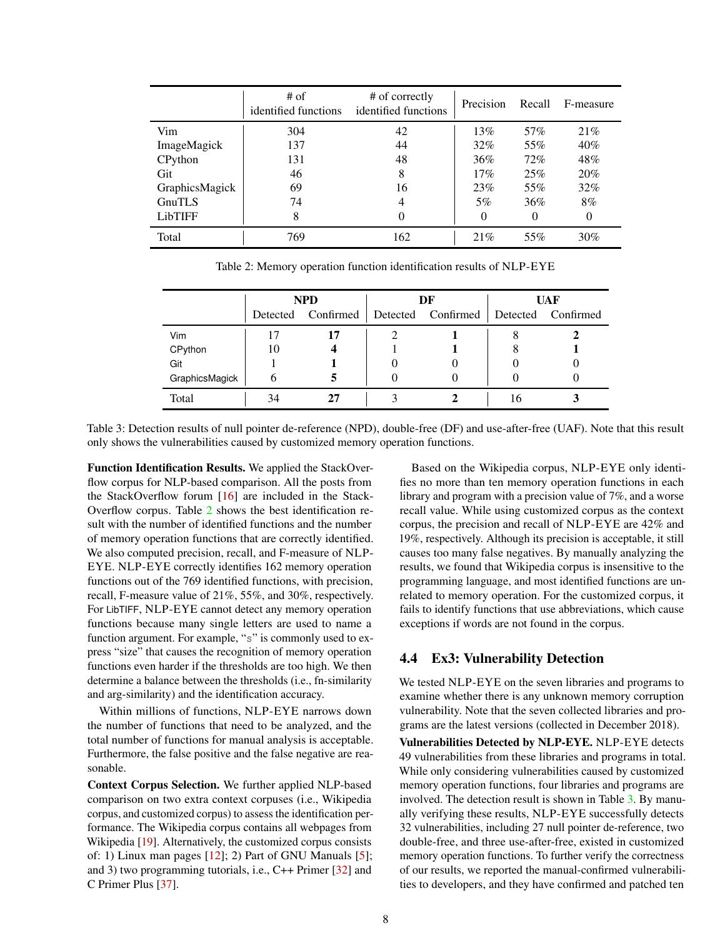<span id="page-7-0"></span>

|                | $#$ of<br>identified functions | # of correctly<br>identified functions | Precision | Recall | F-measure |
|----------------|--------------------------------|----------------------------------------|-----------|--------|-----------|
| Vim            | 304                            | 42                                     | 13%       | 57%    | 21%       |
| ImageMagick    | 137                            | 44                                     | 32%       | 55%    | $40\%$    |
| CPython        | 131                            | 48                                     | $36\%$    | 72%    | 48%       |
| Git            | 46                             | 8                                      | 17%       | 25%    | 20%       |
| GraphicsMagick | 69                             | 16                                     | 23%       | 55%    | 32%       |
| GnuTLS         | 74                             | 4                                      | 5%        | 36%    | 8%        |
| LibTIFF        | 8                              | $\Omega$                               | $\theta$  | 0      | $\Omega$  |
| Total          | 769                            | 162                                    | 21%       | 55%    | 30%       |

Table 2: Memory operation function identification results of NLP-EYE

<span id="page-7-1"></span>

|                | <b>NPD</b> |                    | DF |                    | UAF |                    |
|----------------|------------|--------------------|----|--------------------|-----|--------------------|
|                |            | Detected Confirmed |    | Detected Confirmed |     | Detected Confirmed |
| Vim            |            |                    |    |                    |     |                    |
| CPython        |            |                    |    |                    |     |                    |
| Git            |            |                    |    |                    |     |                    |
| GraphicsMagick | h          |                    |    |                    |     |                    |
| Total          | .54        |                    |    |                    | I h |                    |

Table 3: Detection results of null pointer de-reference (NPD), double-free (DF) and use-after-free (UAF). Note that this result only shows the vulnerabilities caused by customized memory operation functions.

Function Identification Results. We applied the StackOverflow corpus for NLP-based comparison. All the posts from the StackOverflow forum [\[16\]](#page-11-22) are included in the Stack-Overflow corpus. Table [2](#page-7-0) shows the best identification result with the number of identified functions and the number of memory operation functions that are correctly identified. We also computed precision, recall, and F-measure of NLP-EYE. NLP-EYE correctly identifies 162 memory operation functions out of the 769 identified functions, with precision, recall, F-measure value of 21%, 55%, and 30%, respectively. For LibTIFF, NLP-EYE cannot detect any memory operation functions because many single letters are used to name a function argument. For example, "s" is commonly used to express "size" that causes the recognition of memory operation functions even harder if the thresholds are too high. We then determine a balance between the thresholds (i.e., fn-similarity and arg-similarity) and the identification accuracy.

Within millions of functions, NLP-EYE narrows down the number of functions that need to be analyzed, and the total number of functions for manual analysis is acceptable. Furthermore, the false positive and the false negative are reasonable.

Context Corpus Selection. We further applied NLP-based comparison on two extra context corpuses (i.e., Wikipedia corpus, and customized corpus) to assess the identification performance. The Wikipedia corpus contains all webpages from Wikipedia [\[19\]](#page-11-23). Alternatively, the customized corpus consists of: 1) Linux man pages  $[12]$ ; 2) Part of GNU Manuals  $[5]$ ; and 3) two programming tutorials, i.e., C++ Primer [\[32\]](#page-11-26) and C Primer Plus [\[37\]](#page-12-7).

Based on the Wikipedia corpus, NLP-EYE only identifies no more than ten memory operation functions in each library and program with a precision value of 7%, and a worse recall value. While using customized corpus as the context corpus, the precision and recall of NLP-EYE are 42% and 19%, respectively. Although its precision is acceptable, it still causes too many false negatives. By manually analyzing the results, we found that Wikipedia corpus is insensitive to the programming language, and most identified functions are unrelated to memory operation. For the customized corpus, it fails to identify functions that use abbreviations, which cause exceptions if words are not found in the corpus.

# 4.4 Ex3: Vulnerability Detection

We tested NLP-EYE on the seven libraries and programs to examine whether there is any unknown memory corruption vulnerability. Note that the seven collected libraries and programs are the latest versions (collected in December 2018).

Vulnerabilities Detected by NLP-EYE. NLP-EYE detects 49 vulnerabilities from these libraries and programs in total. While only considering vulnerabilities caused by customized memory operation functions, four libraries and programs are involved. The detection result is shown in Table [3.](#page-7-1) By manually verifying these results, NLP-EYE successfully detects 32 vulnerabilities, including 27 null pointer de-reference, two double-free, and three use-after-free, existed in customized memory operation functions. To further verify the correctness of our results, we reported the manual-confirmed vulnerabilities to developers, and they have confirmed and patched ten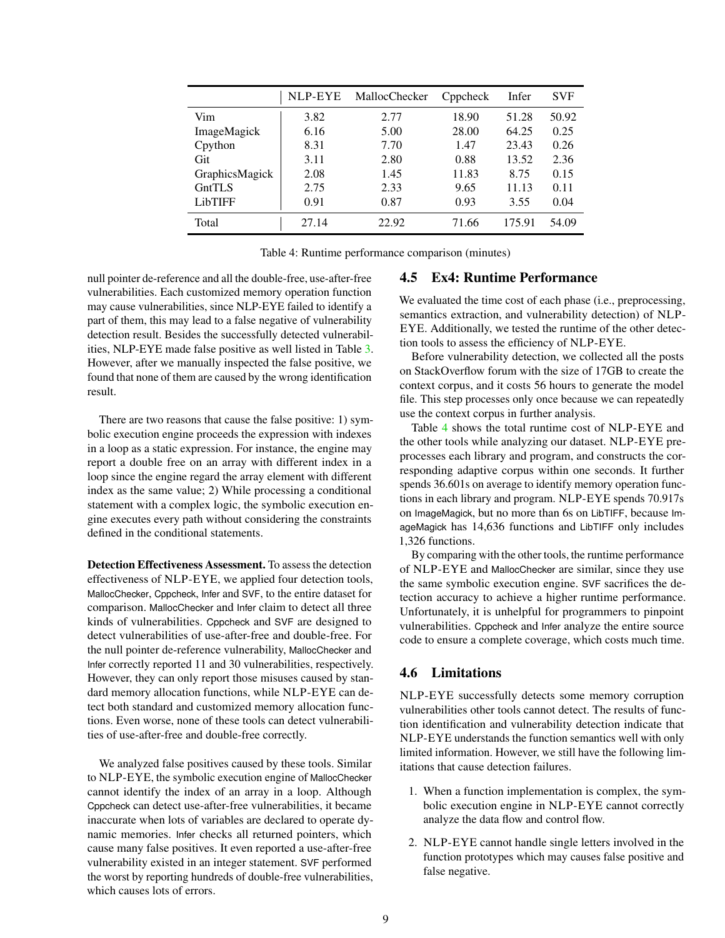<span id="page-8-0"></span>

|                | NLP-EYE | MallocChecker | Cppcheck | Infer  | <b>SVF</b> |
|----------------|---------|---------------|----------|--------|------------|
| Vim            | 3.82    | 2.77          | 18.90    | 51.28  | 50.92      |
| ImageMagick    | 6.16    | 5.00          | 28.00    | 64.25  | 0.25       |
| Cpython        | 8.31    | 7.70          | 1.47     | 23.43  | 0.26       |
| Git            | 3.11    | 2.80          | 0.88     | 13.52  | 2.36       |
| GraphicsMagick | 2.08    | 1.45          | 11.83    | 8.75   | 0.15       |
| GntTLS         | 2.75    | 2.33          | 9.65     | 11.13  | 0.11       |
| <b>LibTIFF</b> | 0.91    | 0.87          | 0.93     | 3.55   | 0.04       |
| Total          | 27.14   | 22.92         | 71.66    | 175.91 | 54.09      |

Table 4: Runtime performance comparison (minutes)

null pointer de-reference and all the double-free, use-after-free vulnerabilities. Each customized memory operation function may cause vulnerabilities, since NLP-EYE failed to identify a part of them, this may lead to a false negative of vulnerability detection result. Besides the successfully detected vulnerabilities, NLP-EYE made false positive as well listed in Table [3.](#page-7-1) However, after we manually inspected the false positive, we found that none of them are caused by the wrong identification result.

There are two reasons that cause the false positive: 1) symbolic execution engine proceeds the expression with indexes in a loop as a static expression. For instance, the engine may report a double free on an array with different index in a loop since the engine regard the array element with different index as the same value; 2) While processing a conditional statement with a complex logic, the symbolic execution engine executes every path without considering the constraints defined in the conditional statements.

Detection Effectiveness Assessment. To assess the detection effectiveness of NLP-EYE, we applied four detection tools, MallocChecker, Cppcheck, Infer and SVF, to the entire dataset for comparison. MallocChecker and Infer claim to detect all three kinds of vulnerabilities. Cppcheck and SVF are designed to detect vulnerabilities of use-after-free and double-free. For the null pointer de-reference vulnerability, MallocChecker and Infer correctly reported 11 and 30 vulnerabilities, respectively. However, they can only report those misuses caused by standard memory allocation functions, while NLP-EYE can detect both standard and customized memory allocation functions. Even worse, none of these tools can detect vulnerabilities of use-after-free and double-free correctly.

We analyzed false positives caused by these tools. Similar to NLP-EYE, the symbolic execution engine of MallocChecker cannot identify the index of an array in a loop. Although Cppcheck can detect use-after-free vulnerabilities, it became inaccurate when lots of variables are declared to operate dynamic memories. Infer checks all returned pointers, which cause many false positives. It even reported a use-after-free vulnerability existed in an integer statement. SVF performed the worst by reporting hundreds of double-free vulnerabilities, which causes lots of errors.

# 4.5 Ex4: Runtime Performance

We evaluated the time cost of each phase (i.e., preprocessing, semantics extraction, and vulnerability detection) of NLP-EYE. Additionally, we tested the runtime of the other detection tools to assess the efficiency of NLP-EYE.

Before vulnerability detection, we collected all the posts on StackOverflow forum with the size of 17GB to create the context corpus, and it costs 56 hours to generate the model file. This step processes only once because we can repeatedly use the context corpus in further analysis.

Table [4](#page-8-0) shows the total runtime cost of NLP-EYE and the other tools while analyzing our dataset. NLP-EYE preprocesses each library and program, and constructs the corresponding adaptive corpus within one seconds. It further spends 36.601s on average to identify memory operation functions in each library and program. NLP-EYE spends 70.917s on ImageMagick, but no more than 6s on LibTIFF, because ImageMagick has 14,636 functions and LibTIFF only includes 1,326 functions.

By comparing with the other tools, the runtime performance of NLP-EYE and MallocChecker are similar, since they use the same symbolic execution engine. SVF sacrifices the detection accuracy to achieve a higher runtime performance. Unfortunately, it is unhelpful for programmers to pinpoint vulnerabilities. Cppcheck and Infer analyze the entire source code to ensure a complete coverage, which costs much time.

# 4.6 Limitations

NLP-EYE successfully detects some memory corruption vulnerabilities other tools cannot detect. The results of function identification and vulnerability detection indicate that NLP-EYE understands the function semantics well with only limited information. However, we still have the following limitations that cause detection failures.

- 1. When a function implementation is complex, the symbolic execution engine in NLP-EYE cannot correctly analyze the data flow and control flow.
- 2. NLP-EYE cannot handle single letters involved in the function prototypes which may causes false positive and false negative.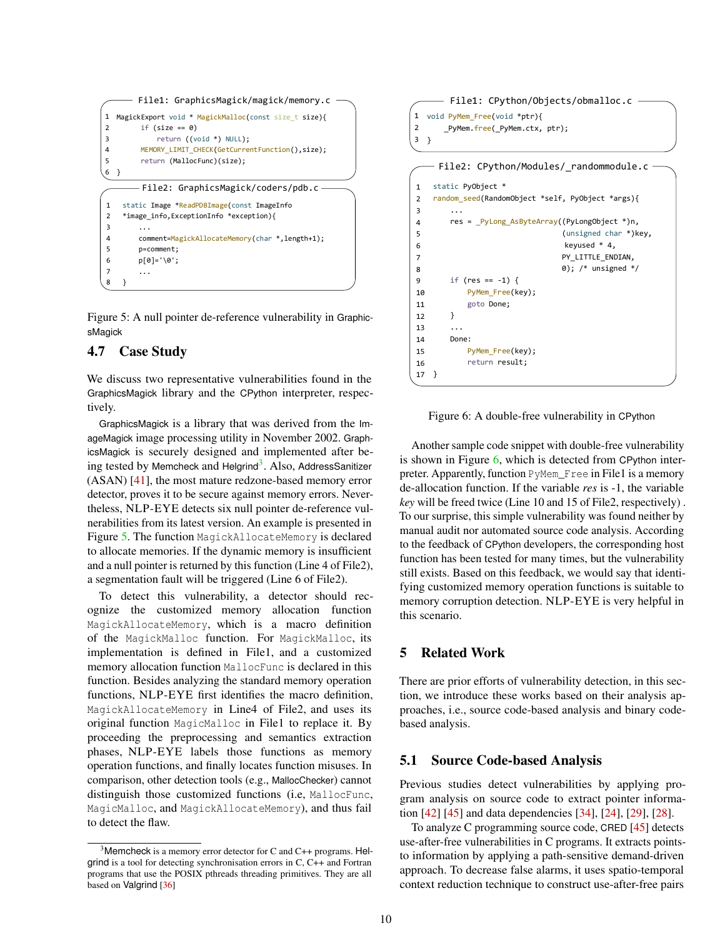```
File1: GraphicsMagick/magick/memory.c
         File2: GraphicsMagick/coders/pdb.c
1
2
3
4
5
6
7
8
    static Image *ReadPDBImage(const ImageInfo
    *image_info,ExceptionInfo *exception){
     ...
     comment=MagickAllocateMemory(char *
,length+1);
         p=comment;
         p[0]='\0';
     ...
    }
1
2
3
4
5
6
  MagickExport void * MagickMalloc(const size_t size){
        if (size == 0) return ((void *) NULL); 
         MEMORY_LIMIT_CHECK(GetCurrentFunction(),size);
         return (MallocFunc)(size);
  }
```
Figure 5: A null pointer de-reference vulnerability in GraphicsMagick

# 4.7 Case Study

We discuss two representative vulnerabilities found in the GraphicsMagick library and the CPython interpreter, respectively.

GraphicsMagick is a library that was derived from the ImageMagick image processing utility in November 2002. GraphicsMagick is securely designed and implemented after be-ing tested by Memcheck and Helgrind<sup>[3](#page-9-1)</sup>. Also, AddressSanitizer (ASAN) [\[41\]](#page-12-2), the most mature redzone-based memory error detector, proves it to be secure against memory errors. Nevertheless, NLP-EYE detects six null pointer de-reference vulnerabilities from its latest version. An example is presented in Figure [5.](#page-9-2) The function MagickAllocateMemory is declared to allocate memories. If the dynamic memory is insufficient and a null pointer is returned by this function (Line 4 of File2), a segmentation fault will be triggered (Line 6 of File2).

To detect this vulnerability, a detector should recognize the customized memory allocation function MagickAllocateMemory, which is a macro definition of the MagickMalloc function. For MagickMalloc, its implementation is defined in File1, and a customized memory allocation function MallocFunc is declared in this function. Besides analyzing the standard memory operation functions, NLP-EYE first identifies the macro definition, MagickAllocateMemory in Line4 of File2, and uses its original function MagicMalloc in File1 to replace it. By proceeding the preprocessing and semantics extraction phases, NLP-EYE labels those functions as memory operation functions, and finally locates function misuses. In comparison, other detection tools (e.g., MallocChecker) cannot distinguish those customized functions (i.e, MallocFunc, MagicMalloc, and MagickAllocateMemory), and thus fail to detect the flaw.

```
File1: CPython/Objects/obmalloc.c
     File2: CPython/Modules/_randommodule.c
1
2
3
4
5
6
7
8
9
10
11
12
13
14
15
16
    static PyObject *
    random_seed(RandomObject *self, PyObject *args){
     ...
         res = _PyLong_AsByteArray((PyLongObject *)n,
                                   (unsigned char *)key, 
                                    keyused * 4,
                                  PY_LITTLE_ENDIAN,
                                   0); /* unsigned */
         if (res == -1) {
             PyMem_Free(key);
             goto Done;
         }
         ...
         Done:
             PyMem_Free(key);
             return result;
1
2
3
}
  void PyMem_Free(void *ptr){
        _PyMem.free(_PyMem.ctx, ptr);
```
Figure 6: A double-free vulnerability in CPython

Another sample code snippet with double-free vulnerability is shown in Figure [6,](#page-9-3) which is detected from CPython interpreter. Apparently, function PyMem\_Free in File1 is a memory de-allocation function. If the variable *res* is -1, the variable *key* will be freed twice (Line 10 and 15 of File2, respectively) . To our surprise, this simple vulnerability was found neither by manual audit nor automated source code analysis. According to the feedback of CPython developers, the corresponding host function has been tested for many times, but the vulnerability still exists. Based on this feedback, we would say that identifying customized memory operation functions is suitable to memory corruption detection. NLP-EYE is very helpful in this scenario.

# <span id="page-9-0"></span>5 Related Work

17 }

There are prior efforts of vulnerability detection, in this section, we introduce these works based on their analysis approaches, i.e., source code-based analysis and binary codebased analysis.

#### 5.1 Source Code-based Analysis

Previous studies detect vulnerabilities by applying program analysis on source code to extract pointer information [\[42\]](#page-12-1) [\[45\]](#page-12-0) and data dependencies [\[34\]](#page-11-28), [\[24\]](#page-11-29), [\[29\]](#page-11-1), [\[28\]](#page-11-30).

To analyze C programming source code, CRED [\[45\]](#page-12-0) detects use-after-free vulnerabilities in C programs. It extracts pointsto information by applying a path-sensitive demand-driven approach. To decrease false alarms, it uses spatio-temporal context reduction technique to construct use-after-free pairs

<span id="page-9-1"></span><sup>&</sup>lt;sup>3</sup>Memcheck is a memory error detector for C and  $C_{++}$  programs. Helgrind is a tool for detecting synchronisation errors in C, C++ and Fortran programs that use the POSIX pthreads threading primitives. They are all based on Valgrind [\[36\]](#page-11-27)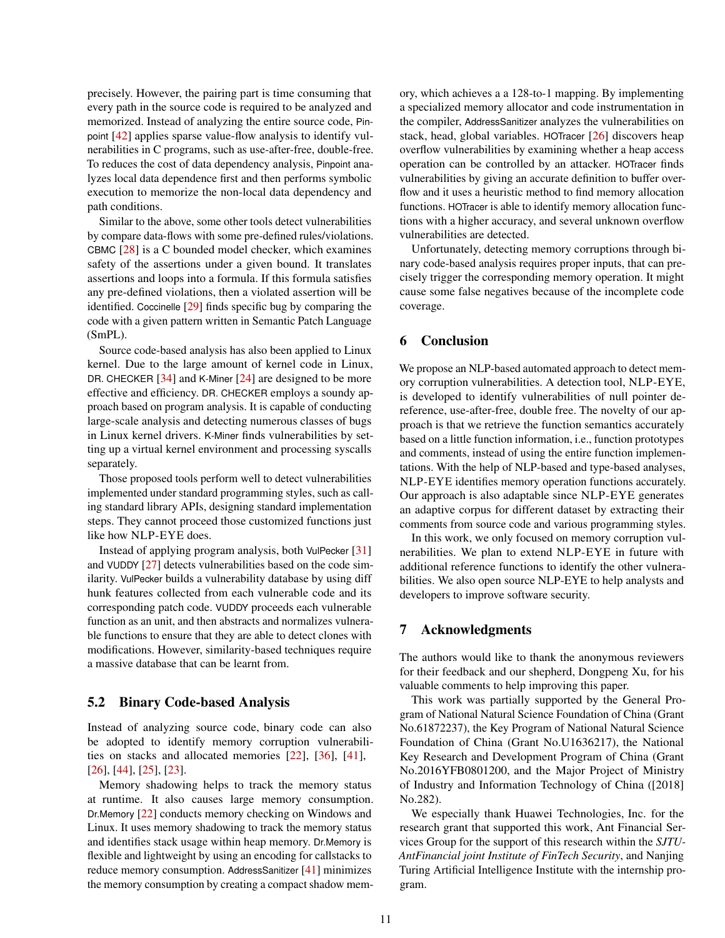precisely. However, the pairing part is time consuming that every path in the source code is required to be analyzed and memorized. Instead of analyzing the entire source code, Pinpoint [\[42\]](#page-12-1) applies sparse value-flow analysis to identify vulnerabilities in C programs, such as use-after-free, double-free. To reduces the cost of data dependency analysis, Pinpoint analyzes local data dependence first and then performs symbolic execution to memorize the non-local data dependency and path conditions.

Similar to the above, some other tools detect vulnerabilities by compare data-flows with some pre-defined rules/violations. CBMC [\[28\]](#page-11-30) is a C bounded model checker, which examines safety of the assertions under a given bound. It translates assertions and loops into a formula. If this formula satisfies any pre-defined violations, then a violated assertion will be identified. Coccinelle [\[29\]](#page-11-1) finds specific bug by comparing the code with a given pattern written in Semantic Patch Language (SmPL).

Source code-based analysis has also been applied to Linux kernel. Due to the large amount of kernel code in Linux, DR. CHECKER [\[34\]](#page-11-28) and K-Miner [\[24\]](#page-11-29) are designed to be more effective and efficiency. DR. CHECKER employs a soundy approach based on program analysis. It is capable of conducting large-scale analysis and detecting numerous classes of bugs in Linux kernel drivers. K-Miner finds vulnerabilities by setting up a virtual kernel environment and processing syscalls separately.

Those proposed tools perform well to detect vulnerabilities implemented under standard programming styles, such as calling standard library APIs, designing standard implementation steps. They cannot proceed those customized functions just like how NLP-EYE does.

Instead of applying program analysis, both VulPecker [\[31\]](#page-11-31) and VUDDY [\[27\]](#page-11-32) detects vulnerabilities based on the code similarity. VulPecker builds a vulnerability database by using diff hunk features collected from each vulnerable code and its corresponding patch code. VUDDY proceeds each vulnerable function as an unit, and then abstracts and normalizes vulnerable functions to ensure that they are able to detect clones with modifications. However, similarity-based techniques require a massive database that can be learnt from.

### 5.2 Binary Code-based Analysis

Instead of analyzing source code, binary code can also be adopted to identify memory corruption vulnerabilities on stacks and allocated memories [\[22\]](#page-11-2), [\[36\]](#page-11-27), [\[41\]](#page-12-2), [\[26\]](#page-11-33), [\[44\]](#page-12-8), [\[25\]](#page-11-34), [\[23\]](#page-11-35).

Memory shadowing helps to track the memory status at runtime. It also causes large memory consumption. Dr.Memory [\[22\]](#page-11-2) conducts memory checking on Windows and Linux. It uses memory shadowing to track the memory status and identifies stack usage within heap memory. Dr.Memory is flexible and lightweight by using an encoding for callstacks to reduce memory consumption. AddressSanitizer [\[41\]](#page-12-2) minimizes the memory consumption by creating a compact shadow memory, which achieves a a 128-to-1 mapping. By implementing a specialized memory allocator and code instrumentation in the compiler, AddressSanitizer analyzes the vulnerabilities on stack, head, global variables. HOTracer [\[26\]](#page-11-33) discovers heap overflow vulnerabilities by examining whether a heap access operation can be controlled by an attacker. HOTracer finds vulnerabilities by giving an accurate definition to buffer overflow and it uses a heuristic method to find memory allocation functions. HOTracer is able to identify memory allocation functions with a higher accuracy, and several unknown overflow vulnerabilities are detected.

Unfortunately, detecting memory corruptions through binary code-based analysis requires proper inputs, that can precisely trigger the corresponding memory operation. It might cause some false negatives because of the incomplete code coverage.

### <span id="page-10-0"></span>6 Conclusion

We propose an NLP-based automated approach to detect memory corruption vulnerabilities. A detection tool, NLP-EYE, is developed to identify vulnerabilities of null pointer dereference, use-after-free, double free. The novelty of our approach is that we retrieve the function semantics accurately based on a little function information, i.e., function prototypes and comments, instead of using the entire function implementations. With the help of NLP-based and type-based analyses, NLP-EYE identifies memory operation functions accurately. Our approach is also adaptable since NLP-EYE generates an adaptive corpus for different dataset by extracting their comments from source code and various programming styles.

In this work, we only focused on memory corruption vulnerabilities. We plan to extend NLP-EYE in future with additional reference functions to identify the other vulnerabilities. We also open source NLP-EYE to help analysts and developers to improve software security.

### 7 Acknowledgments

The authors would like to thank the anonymous reviewers for their feedback and our shepherd, Dongpeng Xu, for his valuable comments to help improving this paper.

This work was partially supported by the General Program of National Natural Science Foundation of China (Grant No.61872237), the Key Program of National Natural Science Foundation of China (Grant No.U1636217), the National Key Research and Development Program of China (Grant No.2016YFB0801200, and the Major Project of Ministry of Industry and Information Technology of China ([2018] No.282).

We especially thank Huawei Technologies, Inc. for the research grant that supported this work, Ant Financial Services Group for the support of this research within the *SJTU-AntFinancial joint Institute of FinTech Security*, and Nanjing Turing Artificial Intelligence Institute with the internship program.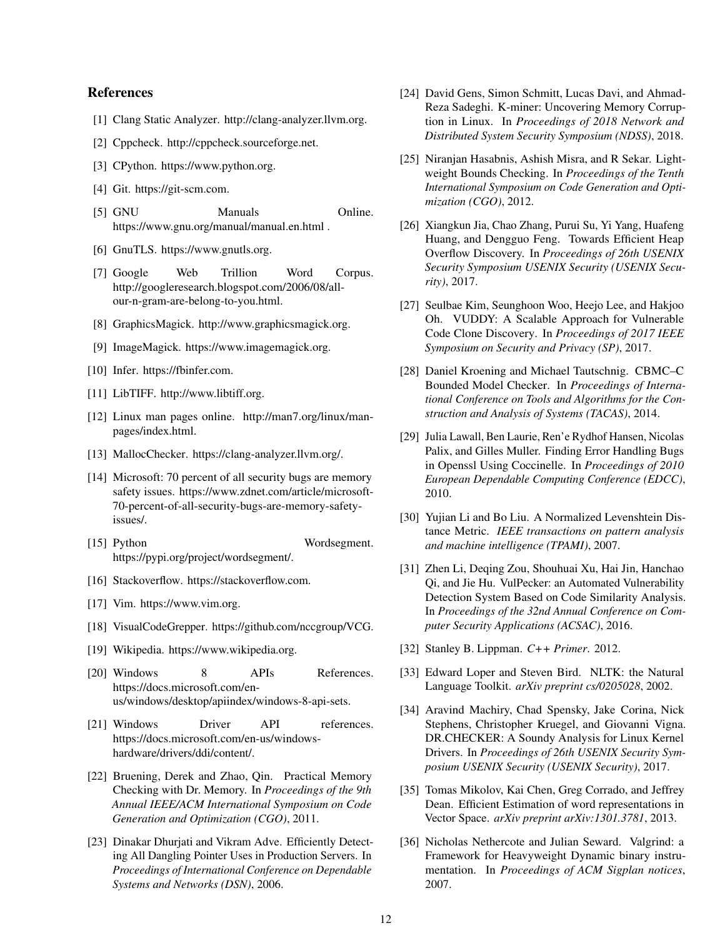# References

- <span id="page-11-3"></span>[1] Clang Static Analyzer. http://clang-analyzer.llvm.org.
- <span id="page-11-4"></span>[2] Cppcheck. http://cppcheck.sourceforge.net.
- <span id="page-11-12"></span>[3] CPython. https://www.python.org.
- <span id="page-11-13"></span>[4] Git. https://git-scm.com.
- <span id="page-11-25"></span>[5] GNU Manuals Online. https://www.gnu.org/manual/manual.en.html .
- <span id="page-11-15"></span>[6] GnuTLS. https://www.gnutls.org.
- <span id="page-11-6"></span>[7] Google Web Trillion Word Corpus. http://googleresearch.blogspot.com/2006/08/allour-n-gram-are-belong-to-you.html.
- <span id="page-11-14"></span>[8] GraphicsMagick. http://www.graphicsmagick.org.
- <span id="page-11-11"></span>[9] ImageMagick. https://www.imagemagick.org.
- <span id="page-11-21"></span>[10] Infer. https://fbinfer.com.
- <span id="page-11-16"></span>[11] LibTIFF. http://www.libtiff.org.
- <span id="page-11-24"></span>[12] Linux man pages online. http://man7.org/linux/manpages/index.html.
- <span id="page-11-20"></span>[13] MallocChecker. https://clang-analyzer.llvm.org/.
- <span id="page-11-0"></span>[14] Microsoft: 70 percent of all security bugs are memory safety issues. https://www.zdnet.com/article/microsoft-70-percent-of-all-security-bugs-are-memory-safetyissues/.
- <span id="page-11-18"></span>[15] Python Wordsegment. https://pypi.org/project/wordsegment/.
- <span id="page-11-22"></span>[16] Stackoverflow. https://stackoverflow.com.
- <span id="page-11-10"></span>[17] Vim. https://www.vim.org.
- <span id="page-11-5"></span>[18] VisualCodeGrepper. https://github.com/nccgroup/VCG.
- <span id="page-11-23"></span>[19] Wikipedia. https://www.wikipedia.org.
- <span id="page-11-8"></span>[20] Windows 8 APIs References. https://docs.microsoft.com/enus/windows/desktop/apiindex/windows-8-api-sets.
- <span id="page-11-7"></span>[21] Windows Driver API references. https://docs.microsoft.com/en-us/windowshardware/drivers/ddi/content/.
- <span id="page-11-2"></span>[22] Bruening, Derek and Zhao, Qin. Practical Memory Checking with Dr. Memory. In *Proceedings of the 9th Annual IEEE/ACM International Symposium on Code Generation and Optimization (CGO)*, 2011.
- <span id="page-11-35"></span>[23] Dinakar Dhurjati and Vikram Adve. Efficiently Detecting All Dangling Pointer Uses in Production Servers. In *Proceedings of International Conference on Dependable Systems and Networks (DSN)*, 2006.
- <span id="page-11-29"></span>[24] David Gens, Simon Schmitt, Lucas Davi, and Ahmad-Reza Sadeghi. K-miner: Uncovering Memory Corruption in Linux. In *Proceedings of 2018 Network and Distributed System Security Symposium (NDSS)*, 2018.
- <span id="page-11-34"></span>[25] Niranjan Hasabnis, Ashish Misra, and R Sekar. Lightweight Bounds Checking. In *Proceedings of the Tenth International Symposium on Code Generation and Optimization (CGO)*, 2012.
- <span id="page-11-33"></span>[26] Xiangkun Jia, Chao Zhang, Purui Su, Yi Yang, Huafeng Huang, and Dengguo Feng. Towards Efficient Heap Overflow Discovery. In *Proceedings of 26th USENIX Security Symposium USENIX Security (USENIX Security)*, 2017.
- <span id="page-11-32"></span>[27] Seulbae Kim, Seunghoon Woo, Heejo Lee, and Hakjoo Oh. VUDDY: A Scalable Approach for Vulnerable Code Clone Discovery. In *Proceedings of 2017 IEEE Symposium on Security and Privacy (SP)*, 2017.
- <span id="page-11-30"></span>[28] Daniel Kroening and Michael Tautschnig. CBMC–C Bounded Model Checker. In *Proceedings of International Conference on Tools and Algorithms for the Construction and Analysis of Systems (TACAS)*, 2014.
- <span id="page-11-1"></span>[29] Julia Lawall, Ben Laurie, Ren'e Rydhof Hansen, Nicolas Palix, and Gilles Muller. Finding Error Handling Bugs in Openssl Using Coccinelle. In *Proceedings of 2010 European Dependable Computing Conference (EDCC)*, 2010.
- <span id="page-11-19"></span>[30] Yujian Li and Bo Liu. A Normalized Levenshtein Distance Metric. *IEEE transactions on pattern analysis and machine intelligence (TPAMI)*, 2007.
- <span id="page-11-31"></span>[31] Zhen Li, Deqing Zou, Shouhuai Xu, Hai Jin, Hanchao Qi, and Jie Hu. VulPecker: an Automated Vulnerability Detection System Based on Code Similarity Analysis. In *Proceedings of the 32nd Annual Conference on Computer Security Applications (ACSAC)*, 2016.
- <span id="page-11-26"></span>[32] Stanley B. Lippman. *C++ Primer*. 2012.
- <span id="page-11-17"></span>[33] Edward Loper and Steven Bird. NLTK: the Natural Language Toolkit. *arXiv preprint cs/0205028*, 2002.
- <span id="page-11-28"></span>[34] Aravind Machiry, Chad Spensky, Jake Corina, Nick Stephens, Christopher Kruegel, and Giovanni Vigna. DR.CHECKER: A Soundy Analysis for Linux Kernel Drivers. In *Proceedings of 26th USENIX Security Symposium USENIX Security (USENIX Security)*, 2017.
- <span id="page-11-9"></span>[35] Tomas Mikolov, Kai Chen, Greg Corrado, and Jeffrey Dean. Efficient Estimation of word representations in Vector Space. *arXiv preprint arXiv:1301.3781*, 2013.
- <span id="page-11-27"></span>[36] Nicholas Nethercote and Julian Seward. Valgrind: a Framework for Heavyweight Dynamic binary instrumentation. In *Proceedings of ACM Sigplan notices*, 2007.